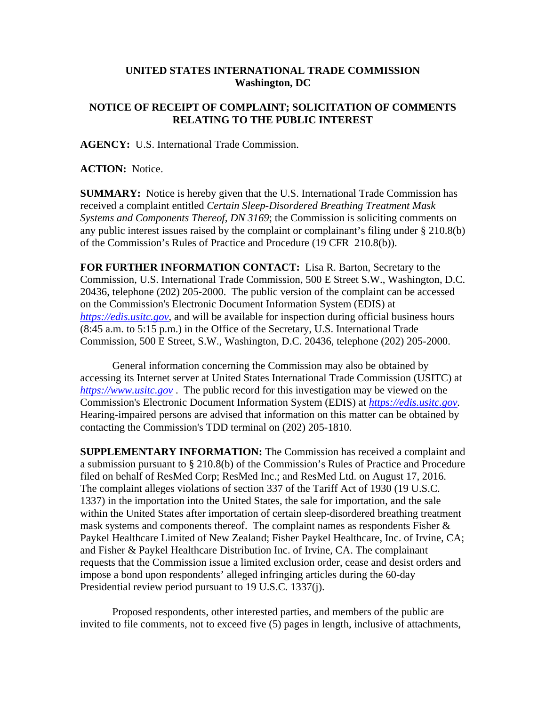## **UNITED STATES INTERNATIONAL TRADE COMMISSION Washington, DC**

## **NOTICE OF RECEIPT OF COMPLAINT; SOLICITATION OF COMMENTS RELATING TO THE PUBLIC INTEREST**

**AGENCY:** U.S. International Trade Commission.

**ACTION:** Notice.

**SUMMARY:** Notice is hereby given that the U.S. International Trade Commission has received a complaint entitled *Certain Sleep-Disordered Breathing Treatment Mask Systems and Components Thereof, DN 3169*; the Commission is soliciting comments on any public interest issues raised by the complaint or complainant's filing under § 210.8(b) of the Commission's Rules of Practice and Procedure (19 CFR 210.8(b)).

**FOR FURTHER INFORMATION CONTACT:** Lisa R. Barton, Secretary to the Commission, U.S. International Trade Commission, 500 E Street S.W., Washington, D.C. 20436, telephone (202) 205-2000. The public version of the complaint can be accessed on the Commission's Electronic Document Information System (EDIS) at *https://edis.usitc.gov*, and will be available for inspection during official business hours (8:45 a.m. to 5:15 p.m.) in the Office of the Secretary, U.S. International Trade Commission, 500 E Street, S.W., Washington, D.C. 20436, telephone (202) 205-2000.

General information concerning the Commission may also be obtained by accessing its Internet server at United States International Trade Commission (USITC) at *https://www.usitc.gov* . The public record for this investigation may be viewed on the Commission's Electronic Document Information System (EDIS) at *https://edis.usitc.gov.* Hearing-impaired persons are advised that information on this matter can be obtained by contacting the Commission's TDD terminal on (202) 205-1810.

**SUPPLEMENTARY INFORMATION:** The Commission has received a complaint and a submission pursuant to § 210.8(b) of the Commission's Rules of Practice and Procedure filed on behalf of ResMed Corp; ResMed Inc.; and ResMed Ltd. on August 17, 2016. The complaint alleges violations of section 337 of the Tariff Act of 1930 (19 U.S.C. 1337) in the importation into the United States, the sale for importation, and the sale within the United States after importation of certain sleep-disordered breathing treatment mask systems and components thereof. The complaint names as respondents Fisher & Paykel Healthcare Limited of New Zealand; Fisher Paykel Healthcare, Inc. of Irvine, CA; and Fisher & Paykel Healthcare Distribution Inc. of Irvine, CA. The complainant requests that the Commission issue a limited exclusion order, cease and desist orders and impose a bond upon respondents' alleged infringing articles during the 60-day Presidential review period pursuant to 19 U.S.C. 1337(j).

Proposed respondents, other interested parties, and members of the public are invited to file comments, not to exceed five (5) pages in length, inclusive of attachments,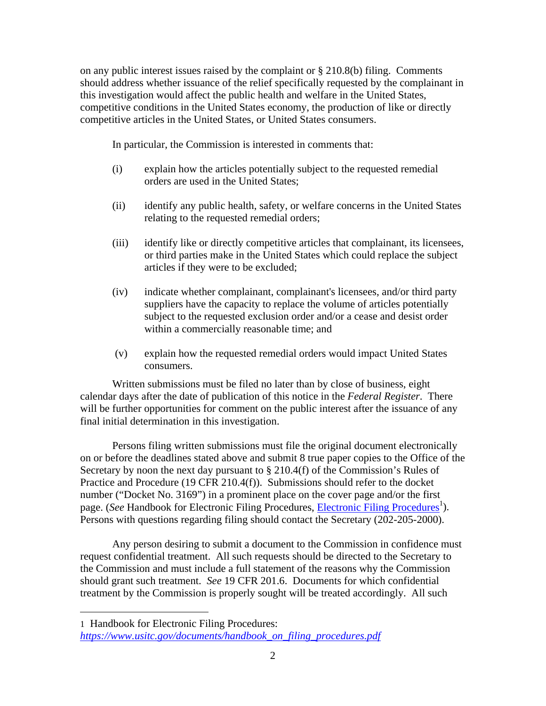on any public interest issues raised by the complaint or § 210.8(b) filing. Comments should address whether issuance of the relief specifically requested by the complainant in this investigation would affect the public health and welfare in the United States, competitive conditions in the United States economy, the production of like or directly competitive articles in the United States, or United States consumers.

In particular, the Commission is interested in comments that:

- (i) explain how the articles potentially subject to the requested remedial orders are used in the United States;
- (ii) identify any public health, safety, or welfare concerns in the United States relating to the requested remedial orders;
- (iii) identify like or directly competitive articles that complainant, its licensees, or third parties make in the United States which could replace the subject articles if they were to be excluded;
- (iv) indicate whether complainant, complainant's licensees, and/or third party suppliers have the capacity to replace the volume of articles potentially subject to the requested exclusion order and/or a cease and desist order within a commercially reasonable time; and
- (v) explain how the requested remedial orders would impact United States consumers.

Written submissions must be filed no later than by close of business, eight calendar days after the date of publication of this notice in the *Federal Register*. There will be further opportunities for comment on the public interest after the issuance of any final initial determination in this investigation.

Persons filing written submissions must file the original document electronically on or before the deadlines stated above and submit 8 true paper copies to the Office of the Secretary by noon the next day pursuant to  $\S 210.4(f)$  of the Commission's Rules of Practice and Procedure (19 CFR 210.4(f)). Submissions should refer to the docket number ("Docket No. 3169") in a prominent place on the cover page and/or the first page. (*See* Handbook for Electronic Filing Procedures, *Electronic Filing Procedures*<sup>1</sup>). Persons with questions regarding filing should contact the Secretary (202-205-2000).

Any person desiring to submit a document to the Commission in confidence must request confidential treatment. All such requests should be directed to the Secretary to the Commission and must include a full statement of the reasons why the Commission should grant such treatment. *See* 19 CFR 201.6. Documents for which confidential treatment by the Commission is properly sought will be treated accordingly. All such

 $\overline{a}$ 

<sup>1</sup> Handbook for Electronic Filing Procedures: *https://www.usitc.gov/documents/handbook\_on\_filing\_procedures.pdf*